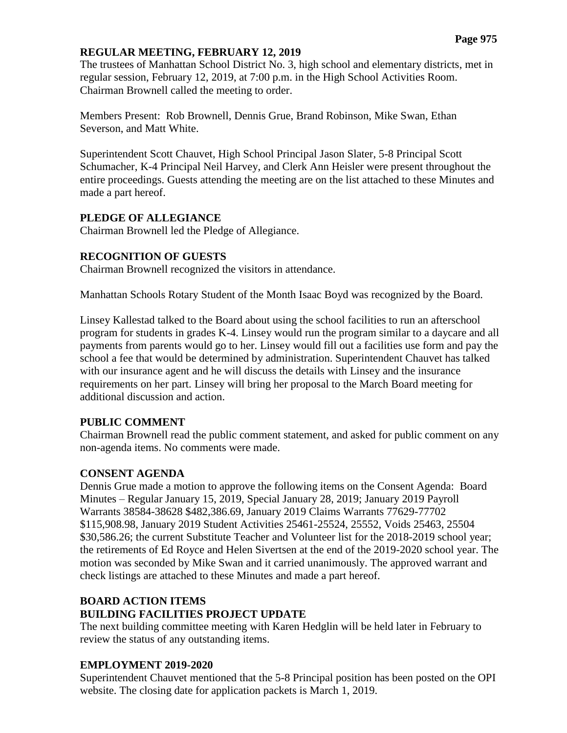#### **REGULAR MEETING, FEBRUARY 12, 2019**

The trustees of Manhattan School District No. 3, high school and elementary districts, met in regular session, February 12, 2019, at 7:00 p.m. in the High School Activities Room. Chairman Brownell called the meeting to order.

Members Present: Rob Brownell, Dennis Grue, Brand Robinson, Mike Swan, Ethan Severson, and Matt White.

Superintendent Scott Chauvet, High School Principal Jason Slater, 5-8 Principal Scott Schumacher, K-4 Principal Neil Harvey, and Clerk Ann Heisler were present throughout the entire proceedings. Guests attending the meeting are on the list attached to these Minutes and made a part hereof.

#### **PLEDGE OF ALLEGIANCE**

Chairman Brownell led the Pledge of Allegiance.

#### **RECOGNITION OF GUESTS**

Chairman Brownell recognized the visitors in attendance.

Manhattan Schools Rotary Student of the Month Isaac Boyd was recognized by the Board.

Linsey Kallestad talked to the Board about using the school facilities to run an afterschool program for students in grades K-4. Linsey would run the program similar to a daycare and all payments from parents would go to her. Linsey would fill out a facilities use form and pay the school a fee that would be determined by administration. Superintendent Chauvet has talked with our insurance agent and he will discuss the details with Linsey and the insurance requirements on her part. Linsey will bring her proposal to the March Board meeting for additional discussion and action.

## **PUBLIC COMMENT**

Chairman Brownell read the public comment statement, and asked for public comment on any non-agenda items. No comments were made.

## **CONSENT AGENDA**

Dennis Grue made a motion to approve the following items on the Consent Agenda: Board Minutes – Regular January 15, 2019, Special January 28, 2019; January 2019 Payroll Warrants 38584-38628 \$482,386.69, January 2019 Claims Warrants 77629-77702 \$115,908.98, January 2019 Student Activities 25461-25524, 25552, Voids 25463, 25504 \$30,586.26; the current Substitute Teacher and Volunteer list for the 2018-2019 school year; the retirements of Ed Royce and Helen Sivertsen at the end of the 2019-2020 school year. The motion was seconded by Mike Swan and it carried unanimously. The approved warrant and check listings are attached to these Minutes and made a part hereof.

# **BOARD ACTION ITEMS**

## **BUILDING FACILITIES PROJECT UPDATE**

The next building committee meeting with Karen Hedglin will be held later in February to review the status of any outstanding items.

## **EMPLOYMENT 2019-2020**

Superintendent Chauvet mentioned that the 5-8 Principal position has been posted on the OPI website. The closing date for application packets is March 1, 2019.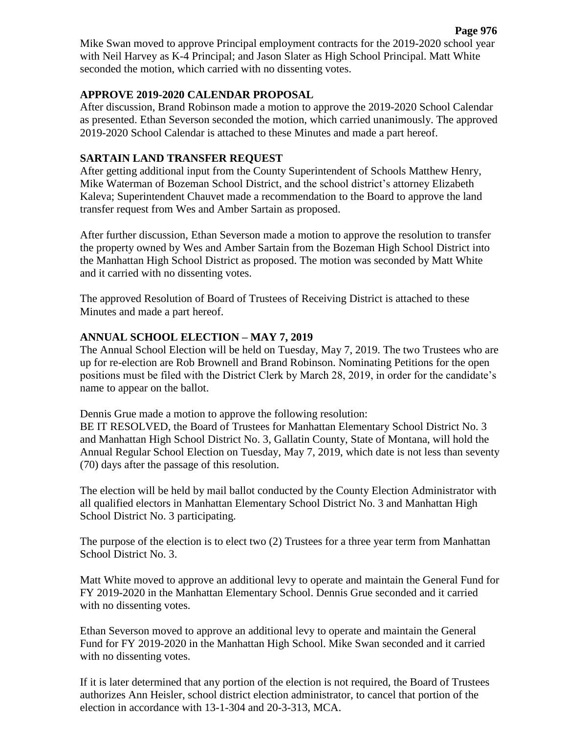Mike Swan moved to approve Principal employment contracts for the 2019-2020 school year with Neil Harvey as K-4 Principal; and Jason Slater as High School Principal. Matt White seconded the motion, which carried with no dissenting votes.

#### **APPROVE 2019-2020 CALENDAR PROPOSAL**

After discussion, Brand Robinson made a motion to approve the 2019-2020 School Calendar as presented. Ethan Severson seconded the motion, which carried unanimously. The approved 2019-2020 School Calendar is attached to these Minutes and made a part hereof.

## **SARTAIN LAND TRANSFER REQUEST**

After getting additional input from the County Superintendent of Schools Matthew Henry, Mike Waterman of Bozeman School District, and the school district's attorney Elizabeth Kaleva; Superintendent Chauvet made a recommendation to the Board to approve the land transfer request from Wes and Amber Sartain as proposed.

After further discussion, Ethan Severson made a motion to approve the resolution to transfer the property owned by Wes and Amber Sartain from the Bozeman High School District into the Manhattan High School District as proposed. The motion was seconded by Matt White and it carried with no dissenting votes.

The approved Resolution of Board of Trustees of Receiving District is attached to these Minutes and made a part hereof.

## **ANNUAL SCHOOL ELECTION – MAY 7, 2019**

The Annual School Election will be held on Tuesday, May 7, 2019. The two Trustees who are up for re-election are Rob Brownell and Brand Robinson. Nominating Petitions for the open positions must be filed with the District Clerk by March 28, 2019, in order for the candidate's name to appear on the ballot.

Dennis Grue made a motion to approve the following resolution:

BE IT RESOLVED, the Board of Trustees for Manhattan Elementary School District No. 3 and Manhattan High School District No. 3, Gallatin County, State of Montana, will hold the Annual Regular School Election on Tuesday, May 7, 2019, which date is not less than seventy (70) days after the passage of this resolution.

The election will be held by mail ballot conducted by the County Election Administrator with all qualified electors in Manhattan Elementary School District No. 3 and Manhattan High School District No. 3 participating.

The purpose of the election is to elect two (2) Trustees for a three year term from Manhattan School District No. 3.

Matt White moved to approve an additional levy to operate and maintain the General Fund for FY 2019-2020 in the Manhattan Elementary School. Dennis Grue seconded and it carried with no dissenting votes.

Ethan Severson moved to approve an additional levy to operate and maintain the General Fund for FY 2019-2020 in the Manhattan High School. Mike Swan seconded and it carried with no dissenting votes.

If it is later determined that any portion of the election is not required, the Board of Trustees authorizes Ann Heisler, school district election administrator, to cancel that portion of the election in accordance with 13-1-304 and 20-3-313, MCA.